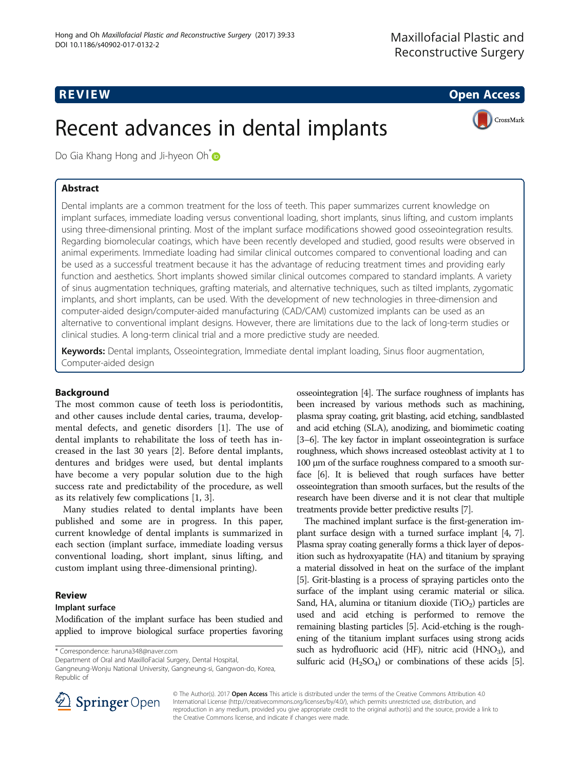R EVI EW Open Access

# Recent advances in dental implants



Do Gia Khang Hong and Ji-hyeon Oh<sup>[\\*](http://orcid.org/0000-0002-6050-7175)</sup>

# Abstract

Dental implants are a common treatment for the loss of teeth. This paper summarizes current knowledge on implant surfaces, immediate loading versus conventional loading, short implants, sinus lifting, and custom implants using three-dimensional printing. Most of the implant surface modifications showed good osseointegration results. Regarding biomolecular coatings, which have been recently developed and studied, good results were observed in animal experiments. Immediate loading had similar clinical outcomes compared to conventional loading and can be used as a successful treatment because it has the advantage of reducing treatment times and providing early function and aesthetics. Short implants showed similar clinical outcomes compared to standard implants. A variety of sinus augmentation techniques, grafting materials, and alternative techniques, such as tilted implants, zygomatic implants, and short implants, can be used. With the development of new technologies in three-dimension and computer-aided design/computer-aided manufacturing (CAD/CAM) customized implants can be used as an alternative to conventional implant designs. However, there are limitations due to the lack of long-term studies or clinical studies. A long-term clinical trial and a more predictive study are needed.

Keywords: Dental implants, Osseointegration, Immediate dental implant loading, Sinus floor augmentation, Computer-aided design

# Background

The most common cause of teeth loss is periodontitis, and other causes include dental caries, trauma, developmental defects, and genetic disorders [[1\]](#page-7-0). The use of dental implants to rehabilitate the loss of teeth has increased in the last 30 years [\[2](#page-7-0)]. Before dental implants, dentures and bridges were used, but dental implants have become a very popular solution due to the high success rate and predictability of the procedure, as well as its relatively few complications [\[1, 3\]](#page-7-0).

Many studies related to dental implants have been published and some are in progress. In this paper, current knowledge of dental implants is summarized in each section (implant surface, immediate loading versus conventional loading, short implant, sinus lifting, and custom implant using three-dimensional printing).

# Review

## Implant surface

Modification of the implant surface has been studied and applied to improve biological surface properties favoring

\* Correspondence: [haruna348@naver.com](mailto:haruna348@naver.com)

Department of Oral and MaxilloFacial Surgery, Dental Hospital,

Gangneung-Wonju National University, Gangneung-si, Gangwon-do, Korea, Republic of

osseointegration [[4](#page-7-0)]. The surface roughness of implants has been increased by various methods such as machining, plasma spray coating, grit blasting, acid etching, sandblasted and acid etching (SLA), anodizing, and biomimetic coating [[3](#page-7-0)–[6\]](#page-7-0). The key factor in implant osseointegration is surface roughness, which shows increased osteoblast activity at 1 to 100 μm of the surface roughness compared to a smooth surface [\[6](#page-7-0)]. It is believed that rough surfaces have better osseointegration than smooth surfaces, but the results of the research have been diverse and it is not clear that multiple treatments provide better predictive results [\[7\]](#page-7-0).

The machined implant surface is the first-generation implant surface design with a turned surface implant [\[4, 7](#page-7-0)]. Plasma spray coating generally forms a thick layer of deposition such as hydroxyapatite (HA) and titanium by spraying a material dissolved in heat on the surface of the implant [[5](#page-7-0)]. Grit-blasting is a process of spraying particles onto the surface of the implant using ceramic material or silica. Sand, HA, alumina or titanium dioxide  $(TiO<sub>2</sub>)$  particles are used and acid etching is performed to remove the remaining blasting particles [\[5\]](#page-7-0). Acid-etching is the roughening of the titanium implant surfaces using strong acids such as hydrofluoric acid (HF), nitric acid (HNO<sub>3</sub>), and sulfuric acid  $(H_2SO_4)$  or combinations of these acids [[5](#page-7-0)].



© The Author(s). 2017 Open Access This article is distributed under the terms of the Creative Commons Attribution 4.0 International License ([http://creativecommons.org/licenses/by/4.0/\)](http://creativecommons.org/licenses/by/4.0/), which permits unrestricted use, distribution, and reproduction in any medium, provided you give appropriate credit to the original author(s) and the source, provide a link to the Creative Commons license, and indicate if changes were made.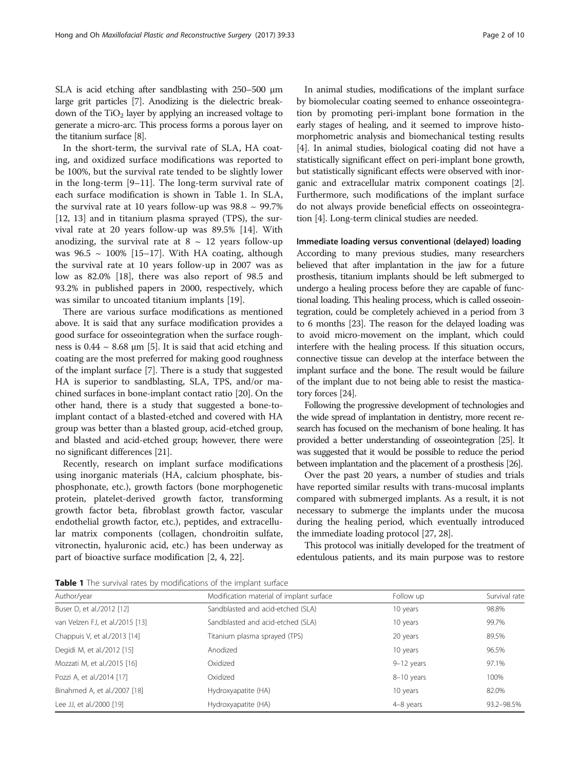SLA is acid etching after sandblasting with 250–500 μm large grit particles [\[7\]](#page-7-0). Anodizing is the dielectric breakdown of the  $TiO<sub>2</sub>$  layer by applying an increased voltage to generate a micro-arc. This process forms a porous layer on the titanium surface [[8](#page-7-0)].

In the short-term, the survival rate of SLA, HA coating, and oxidized surface modifications was reported to be 100%, but the survival rate tended to be slightly lower in the long-term [\[9](#page-7-0)–[11\]](#page-7-0). The long-term survival rate of each surface modification is shown in Table 1. In SLA, the survival rate at 10 years follow-up was  $98.8 \sim 99.7\%$ [[12, 13](#page-7-0)] and in titanium plasma sprayed (TPS), the survival rate at 20 years follow-up was 89.5% [[14](#page-8-0)]. With anodizing, the survival rate at  $8 \sim 12$  years follow-up was  $96.5 \sim 100\%$  [[15](#page-8-0)–[17](#page-8-0)]. With HA coating, although the survival rate at 10 years follow-up in 2007 was as low as 82.0% [[18\]](#page-8-0), there was also report of 98.5 and 93.2% in published papers in 2000, respectively, which was similar to uncoated titanium implants [\[19](#page-8-0)].

There are various surface modifications as mentioned above. It is said that any surface modification provides a good surface for osseointegration when the surface roughness is  $0.44 \sim 8.68$  µm [\[5](#page-7-0)]. It is said that acid etching and coating are the most preferred for making good roughness of the implant surface [[7\]](#page-7-0). There is a study that suggested HA is superior to sandblasting, SLA, TPS, and/or machined surfaces in bone-implant contact ratio [[20](#page-8-0)]. On the other hand, there is a study that suggested a bone-toimplant contact of a blasted-etched and covered with HA group was better than a blasted group, acid-etched group, and blasted and acid-etched group; however, there were no significant differences [[21](#page-8-0)].

Recently, research on implant surface modifications using inorganic materials (HA, calcium phosphate, bisphosphonate, etc.), growth factors (bone morphogenetic protein, platelet-derived growth factor, transforming growth factor beta, fibroblast growth factor, vascular endothelial growth factor, etc.), peptides, and extracellular matrix components (collagen, chondroitin sulfate, vitronectin, hyaluronic acid, etc.) has been underway as part of bioactive surface modification [[2, 4,](#page-7-0) [22\]](#page-8-0).

In animal studies, modifications of the implant surface by biomolecular coating seemed to enhance osseointegration by promoting peri-implant bone formation in the early stages of healing, and it seemed to improve histomorphometric analysis and biomechanical testing results [[4\]](#page-7-0). In animal studies, biological coating did not have a statistically significant effect on peri-implant bone growth, but statistically significant effects were observed with inorganic and extracellular matrix component coatings [[2](#page-7-0)]. Furthermore, such modifications of the implant surface do not always provide beneficial effects on osseointegration [\[4](#page-7-0)]. Long-term clinical studies are needed.

Immediate loading versus conventional (delayed) loading According to many previous studies, many researchers believed that after implantation in the jaw for a future prosthesis, titanium implants should be left submerged to undergo a healing process before they are capable of functional loading. This healing process, which is called osseointegration, could be completely achieved in a period from 3 to 6 months [\[23\]](#page-8-0). The reason for the delayed loading was to avoid micro-movement on the implant, which could interfere with the healing process. If this situation occurs, connective tissue can develop at the interface between the implant surface and the bone. The result would be failure of the implant due to not being able to resist the masticatory forces [[24](#page-8-0)].

Following the progressive development of technologies and the wide spread of implantation in dentistry, more recent research has focused on the mechanism of bone healing. It has provided a better understanding of osseointegration [[25\]](#page-8-0). It was suggested that it would be possible to reduce the period between implantation and the placement of a prosthesis [\[26](#page-8-0)].

Over the past 20 years, a number of studies and trials have reported similar results with trans-mucosal implants compared with submerged implants. As a result, it is not necessary to submerge the implants under the mucosa during the healing period, which eventually introduced the immediate loading protocol [\[27, 28](#page-8-0)].

This protocol was initially developed for the treatment of edentulous patients, and its main purpose was to restore

**Table 1** The survival rates by modifications of the implant surface

| Author/year                     | Modification material of implant surface | Follow up  | Survival rate |
|---------------------------------|------------------------------------------|------------|---------------|
| Buser D, et al./2012 [12]       | Sandblasted and acid-etched (SLA)        | 10 years   | 98.8%         |
| van Velzen FJ, et al./2015 [13] | Sandblasted and acid-etched (SLA)        | 10 years   | 99.7%         |
| Chappuis V, et al./2013 [14]    | Titanium plasma sprayed (TPS)            | 20 years   | 89.5%         |
| Degidi M, et al./2012 [15]      | Anodized                                 | 10 years   | 96.5%         |
| Mozzati M, et al./2015 [16]     | Oxidized                                 | 9-12 years | 97.1%         |
| Pozzi A, et al./2014 [17]       | Oxidized                                 | 8-10 years | 100%          |
| Binahmed A, et al./2007 [18]    | Hydroxyapatite (HA)                      | 10 years   | 82.0%         |
| Lee JJ, et al./2000 [19]        | Hydroxyapatite (HA)                      | 4-8 years  | 93.2-98.5%    |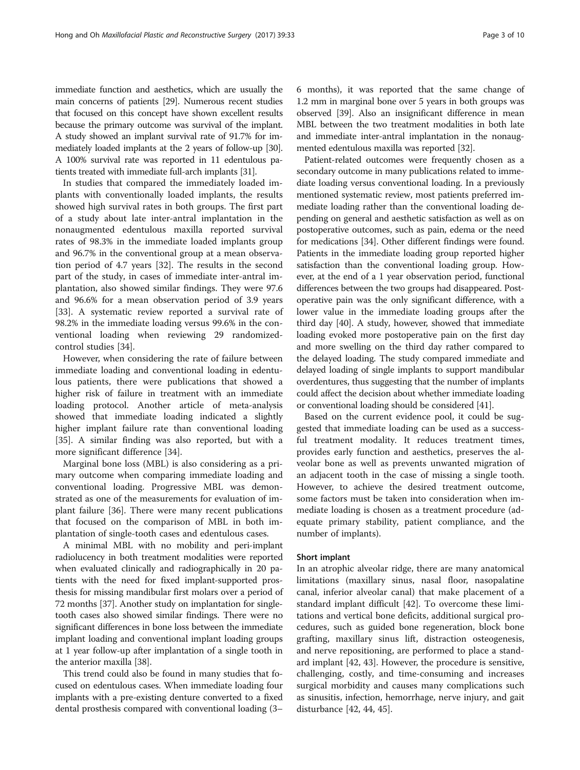immediate function and aesthetics, which are usually the main concerns of patients [\[29](#page-8-0)]. Numerous recent studies that focused on this concept have shown excellent results because the primary outcome was survival of the implant. A study showed an implant survival rate of 91.7% for immediately loaded implants at the 2 years of follow-up [\[30](#page-8-0)]. A 100% survival rate was reported in 11 edentulous patients treated with immediate full-arch implants [\[31\]](#page-8-0).

In studies that compared the immediately loaded implants with conventionally loaded implants, the results showed high survival rates in both groups. The first part of a study about late inter-antral implantation in the nonaugmented edentulous maxilla reported survival rates of 98.3% in the immediate loaded implants group and 96.7% in the conventional group at a mean observation period of 4.7 years [\[32\]](#page-8-0). The results in the second part of the study, in cases of immediate inter-antral implantation, also showed similar findings. They were 97.6 and 96.6% for a mean observation period of 3.9 years [[33\]](#page-8-0). A systematic review reported a survival rate of 98.2% in the immediate loading versus 99.6% in the conventional loading when reviewing 29 randomizedcontrol studies [\[34](#page-8-0)].

However, when considering the rate of failure between immediate loading and conventional loading in edentulous patients, there were publications that showed a higher risk of failure in treatment with an immediate loading protocol. Another article of meta-analysis showed that immediate loading indicated a slightly higher implant failure rate than conventional loading [[35\]](#page-8-0). A similar finding was also reported, but with a more significant difference [\[34\]](#page-8-0).

Marginal bone loss (MBL) is also considering as a primary outcome when comparing immediate loading and conventional loading. Progressive MBL was demonstrated as one of the measurements for evaluation of implant failure [\[36](#page-8-0)]. There were many recent publications that focused on the comparison of MBL in both implantation of single-tooth cases and edentulous cases.

A minimal MBL with no mobility and peri-implant radiolucency in both treatment modalities were reported when evaluated clinically and radiographically in 20 patients with the need for fixed implant-supported prosthesis for missing mandibular first molars over a period of 72 months [\[37\]](#page-8-0). Another study on implantation for singletooth cases also showed similar findings. There were no significant differences in bone loss between the immediate implant loading and conventional implant loading groups at 1 year follow-up after implantation of a single tooth in the anterior maxilla [\[38\]](#page-8-0).

This trend could also be found in many studies that focused on edentulous cases. When immediate loading four implants with a pre-existing denture converted to a fixed dental prosthesis compared with conventional loading (3–

6 months), it was reported that the same change of 1.2 mm in marginal bone over 5 years in both groups was observed [[39](#page-8-0)]. Also an insignificant difference in mean MBL between the two treatment modalities in both late and immediate inter-antral implantation in the nonaugmented edentulous maxilla was reported [\[32\]](#page-8-0).

Patient-related outcomes were frequently chosen as a secondary outcome in many publications related to immediate loading versus conventional loading. In a previously mentioned systematic review, most patients preferred immediate loading rather than the conventional loading depending on general and aesthetic satisfaction as well as on postoperative outcomes, such as pain, edema or the need for medications [[34](#page-8-0)]. Other different findings were found. Patients in the immediate loading group reported higher satisfaction than the conventional loading group. However, at the end of a 1 year observation period, functional differences between the two groups had disappeared. Postoperative pain was the only significant difference, with a lower value in the immediate loading groups after the third day [\[40\]](#page-8-0). A study, however, showed that immediate loading evoked more postoperative pain on the first day and more swelling on the third day rather compared to the delayed loading. The study compared immediate and delayed loading of single implants to support mandibular overdentures, thus suggesting that the number of implants could affect the decision about whether immediate loading or conventional loading should be considered [\[41](#page-8-0)].

Based on the current evidence pool, it could be suggested that immediate loading can be used as a successful treatment modality. It reduces treatment times, provides early function and aesthetics, preserves the alveolar bone as well as prevents unwanted migration of an adjacent tooth in the case of missing a single tooth. However, to achieve the desired treatment outcome, some factors must be taken into consideration when immediate loading is chosen as a treatment procedure (adequate primary stability, patient compliance, and the number of implants).

# Short implant

In an atrophic alveolar ridge, there are many anatomical limitations (maxillary sinus, nasal floor, nasopalatine canal, inferior alveolar canal) that make placement of a standard implant difficult [\[42\]](#page-8-0). To overcome these limitations and vertical bone deficits, additional surgical procedures, such as guided bone regeneration, block bone grafting, maxillary sinus lift, distraction osteogenesis, and nerve repositioning, are performed to place a standard implant [[42](#page-8-0), [43](#page-8-0)]. However, the procedure is sensitive, challenging, costly, and time-consuming and increases surgical morbidity and causes many complications such as sinusitis, infection, hemorrhage, nerve injury, and gait disturbance [\[42](#page-8-0), [44](#page-8-0), [45\]](#page-8-0).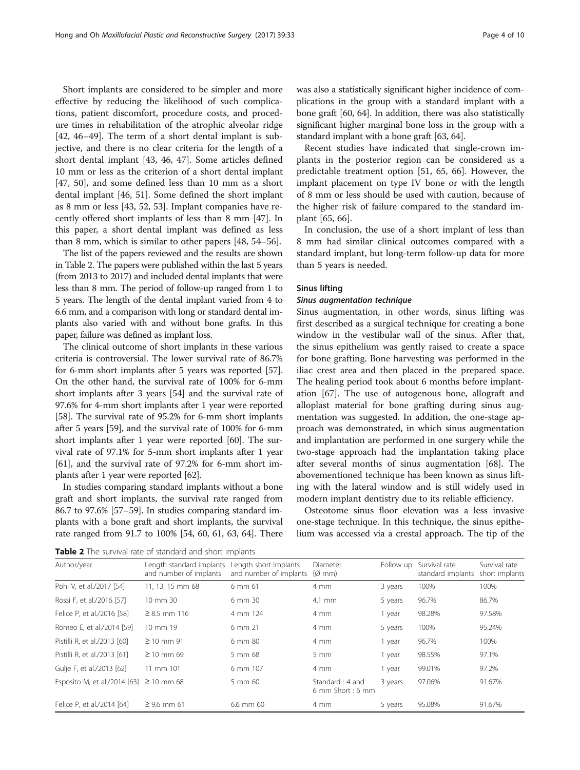Short implants are considered to be simpler and more effective by reducing the likelihood of such complications, patient discomfort, procedure costs, and procedure times in rehabilitation of the atrophic alveolar ridge [[42, 46](#page-8-0)–[49](#page-8-0)]. The term of a short dental implant is subjective, and there is no clear criteria for the length of a short dental implant [[43](#page-8-0), [46](#page-8-0), [47](#page-8-0)]. Some articles defined 10 mm or less as the criterion of a short dental implant [[47, 50\]](#page-8-0), and some defined less than 10 mm as a short dental implant [[46, 51](#page-8-0)]. Some defined the short implant as 8 mm or less [[43, 52](#page-8-0), [53](#page-8-0)]. Implant companies have recently offered short implants of less than 8 mm [\[47\]](#page-8-0). In this paper, a short dental implant was defined as less than 8 mm, which is similar to other papers [\[48](#page-8-0), [54](#page-8-0)–[56\]](#page-9-0).

The list of the papers reviewed and the results are shown in Table 2. The papers were published within the last 5 years (from 2013 to 2017) and included dental implants that were less than 8 mm. The period of follow-up ranged from 1 to 5 years. The length of the dental implant varied from 4 to 6.6 mm, and a comparison with long or standard dental implants also varied with and without bone grafts. In this paper, failure was defined as implant loss.

The clinical outcome of short implants in these various criteria is controversial. The lower survival rate of 86.7% for 6-mm short implants after 5 years was reported [[57](#page-9-0)]. On the other hand, the survival rate of 100% for 6-mm short implants after 3 years [\[54\]](#page-8-0) and the survival rate of 97.6% for 4-mm short implants after 1 year were reported [[58](#page-9-0)]. The survival rate of 95.2% for 6-mm short implants after 5 years [\[59\]](#page-9-0), and the survival rate of 100% for 6-mm short implants after 1 year were reported [[60\]](#page-9-0). The survival rate of 97.1% for 5-mm short implants after 1 year [[61](#page-9-0)], and the survival rate of 97.2% for 6-mm short implants after 1 year were reported [\[62\]](#page-9-0).

In studies comparing standard implants without a bone graft and short implants, the survival rate ranged from 86.7 to 97.6% [\[57](#page-9-0)–[59](#page-9-0)]. In studies comparing standard implants with a bone graft and short implants, the survival rate ranged from 91.7 to 100% [\[54,](#page-8-0) [60, 61, 63, 64](#page-9-0)]. There was also a statistically significant higher incidence of complications in the group with a standard implant with a bone graft [\[60, 64\]](#page-9-0). In addition, there was also statistically significant higher marginal bone loss in the group with a standard implant with a bone graft [\[63, 64\]](#page-9-0).

Recent studies have indicated that single-crown implants in the posterior region can be considered as a predictable treatment option [[51,](#page-8-0) [65, 66](#page-9-0)]. However, the implant placement on type IV bone or with the length of 8 mm or less should be used with caution, because of the higher risk of failure compared to the standard implant [[65](#page-9-0), [66](#page-9-0)].

In conclusion, the use of a short implant of less than 8 mm had similar clinical outcomes compared with a standard implant, but long-term follow-up data for more than 5 years is needed.

## Sinus lifting

Sinus augmentation, in other words, sinus lifting was first described as a surgical technique for creating a bone window in the vestibular wall of the sinus. After that, the sinus epithelium was gently raised to create a space for bone grafting. Bone harvesting was performed in the iliac crest area and then placed in the prepared space. The healing period took about 6 months before implantation [[67](#page-9-0)]. The use of autogenous bone, allograft and alloplast material for bone grafting during sinus augmentation was suggested. In addition, the one-stage approach was demonstrated, in which sinus augmentation and implantation are performed in one surgery while the two-stage approach had the implantation taking place after several months of sinus augmentation [\[68\]](#page-9-0). The abovementioned technique has been known as sinus lifting with the lateral window and is still widely used in modern implant dentistry due to its reliable efficiency.

Osteotome sinus floor elevation was a less invasive one-stage technique. In this technique, the sinus epithelium was accessed via a crestal approach. The tip of the

Table 2 The survival rate of standard and short implants

| Author/year                  | Length standard implants<br>and number of implants | Length short implants<br>and number of implants | Diameter<br>$(\emptyset$ mm)            | Follow up | Survival rate<br>standard implants | Survival rate<br>short implants |
|------------------------------|----------------------------------------------------|-------------------------------------------------|-----------------------------------------|-----------|------------------------------------|---------------------------------|
| Pohl V, et al./2017 [54]     | 11, 13, 15 mm 68                                   | 6 mm 61                                         | 4 mm                                    | 3 years   | 100%                               | 100%                            |
| Rossi F, et al./2016 [57]    | 10 mm 30                                           | 6 mm 30                                         | $4.1$ mm                                | 5 years   | 96.7%                              | 86.7%                           |
| Felice P, et al./2016 [58]   | $\geq 8.5$ mm 116                                  | 4 mm 124                                        | $4 \, \text{mm}$                        | 1 year    | 98.28%                             | 97.58%                          |
| Romeo E, et al./2014 [59]    | 10 mm 19                                           | 6 mm 21                                         | 4 mm                                    | 5 years   | 100%                               | 95.24%                          |
| Pistilli R, et al./2013 [60] | $\geq 10$ mm 91                                    | 6 mm 80                                         | 4 mm                                    | 1 year    | 96.7%                              | 100%                            |
| Pistilli R, et al./2013 [61] | $\geq$ 10 mm 69                                    | 5 mm 68                                         | $5 \, \text{mm}$                        | 1 year    | 98.55%                             | 97.1%                           |
| Gulje F, et al./2013 [62]    | 11 mm 101                                          | 6 mm 107                                        | 4 mm                                    | 1 year    | 99.01%                             | 97.2%                           |
| Esposito M, et al./2014 [63] | $\geq$ 10 mm 68                                    | 5 mm 60                                         | Standard: 4 and<br>$6$ mm Short: $6$ mm | 3 years   | 97.06%                             | 91.67%                          |
| Felice P, et al./2014 [64]   | $\geq$ 9.6 mm 61                                   | 6.6 mm 60                                       | 4 mm                                    | 5 years   | 95.08%                             | 91.67%                          |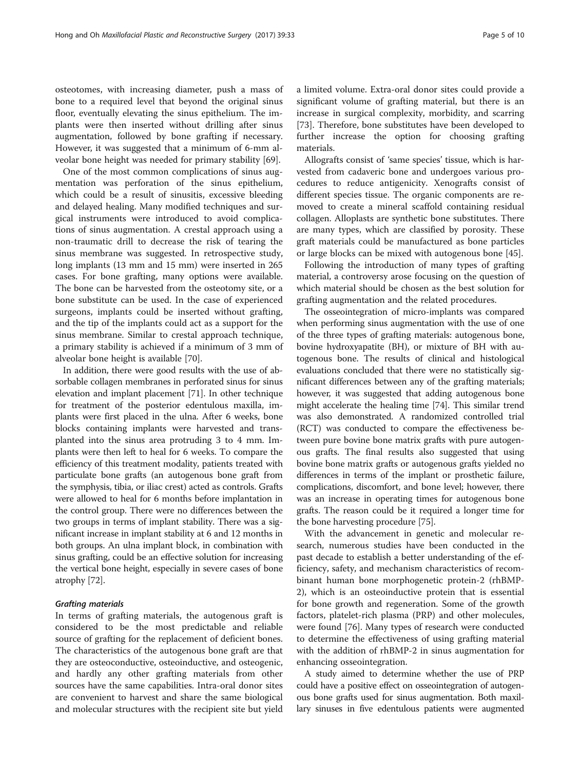osteotomes, with increasing diameter, push a mass of bone to a required level that beyond the original sinus floor, eventually elevating the sinus epithelium. The implants were then inserted without drilling after sinus augmentation, followed by bone grafting if necessary. However, it was suggested that a minimum of 6-mm alveolar bone height was needed for primary stability [\[69\]](#page-9-0).

One of the most common complications of sinus augmentation was perforation of the sinus epithelium, which could be a result of sinusitis, excessive bleeding and delayed healing. Many modified techniques and surgical instruments were introduced to avoid complications of sinus augmentation. A crestal approach using a non-traumatic drill to decrease the risk of tearing the sinus membrane was suggested. In retrospective study, long implants (13 mm and 15 mm) were inserted in 265 cases. For bone grafting, many options were available. The bone can be harvested from the osteotomy site, or a bone substitute can be used. In the case of experienced surgeons, implants could be inserted without grafting, and the tip of the implants could act as a support for the sinus membrane. Similar to crestal approach technique, a primary stability is achieved if a minimum of 3 mm of alveolar bone height is available [[70\]](#page-9-0).

In addition, there were good results with the use of absorbable collagen membranes in perforated sinus for sinus elevation and implant placement [\[71\]](#page-9-0). In other technique for treatment of the posterior edentulous maxilla, implants were first placed in the ulna. After 6 weeks, bone blocks containing implants were harvested and transplanted into the sinus area protruding 3 to 4 mm. Implants were then left to heal for 6 weeks. To compare the efficiency of this treatment modality, patients treated with particulate bone grafts (an autogenous bone graft from the symphysis, tibia, or iliac crest) acted as controls. Grafts were allowed to heal for 6 months before implantation in the control group. There were no differences between the two groups in terms of implant stability. There was a significant increase in implant stability at 6 and 12 months in both groups. An ulna implant block, in combination with sinus grafting, could be an effective solution for increasing the vertical bone height, especially in severe cases of bone atrophy [\[72\]](#page-9-0).

In terms of grafting materials, the autogenous graft is considered to be the most predictable and reliable source of grafting for the replacement of deficient bones. The characteristics of the autogenous bone graft are that they are osteoconductive, osteoinductive, and osteogenic, and hardly any other grafting materials from other sources have the same capabilities. Intra-oral donor sites are convenient to harvest and share the same biological and molecular structures with the recipient site but yield a limited volume. Extra-oral donor sites could provide a significant volume of grafting material, but there is an increase in surgical complexity, morbidity, and scarring [[73\]](#page-9-0). Therefore, bone substitutes have been developed to further increase the option for choosing grafting materials.

Allografts consist of 'same species' tissue, which is harvested from cadaveric bone and undergoes various procedures to reduce antigenicity. Xenografts consist of different species tissue. The organic components are removed to create a mineral scaffold containing residual collagen. Alloplasts are synthetic bone substitutes. There are many types, which are classified by porosity. These graft materials could be manufactured as bone particles or large blocks can be mixed with autogenous bone [\[45](#page-8-0)].

Following the introduction of many types of grafting material, a controversy arose focusing on the question of which material should be chosen as the best solution for grafting augmentation and the related procedures.

The osseointegration of micro-implants was compared when performing sinus augmentation with the use of one of the three types of grafting materials: autogenous bone, bovine hydroxyapatite (BH), or mixture of BH with autogenous bone. The results of clinical and histological evaluations concluded that there were no statistically significant differences between any of the grafting materials; however, it was suggested that adding autogenous bone might accelerate the healing time [\[74\]](#page-9-0). This similar trend was also demonstrated. A randomized controlled trial (RCT) was conducted to compare the effectiveness between pure bovine bone matrix grafts with pure autogenous grafts. The final results also suggested that using bovine bone matrix grafts or autogenous grafts yielded no differences in terms of the implant or prosthetic failure, complications, discomfort, and bone level; however, there was an increase in operating times for autogenous bone grafts. The reason could be it required a longer time for the bone harvesting procedure [[75](#page-9-0)].

With the advancement in genetic and molecular research, numerous studies have been conducted in the past decade to establish a better understanding of the efficiency, safety, and mechanism characteristics of recombinant human bone morphogenetic protein-2 (rhBMP-2), which is an osteoinductive protein that is essential for bone growth and regeneration. Some of the growth factors, platelet-rich plasma (PRP) and other molecules, were found [\[76\]](#page-9-0). Many types of research were conducted to determine the effectiveness of using grafting material with the addition of rhBMP-2 in sinus augmentation for enhancing osseointegration.

A study aimed to determine whether the use of PRP could have a positive effect on osseointegration of autogenous bone grafts used for sinus augmentation. Both maxillary sinuses in five edentulous patients were augmented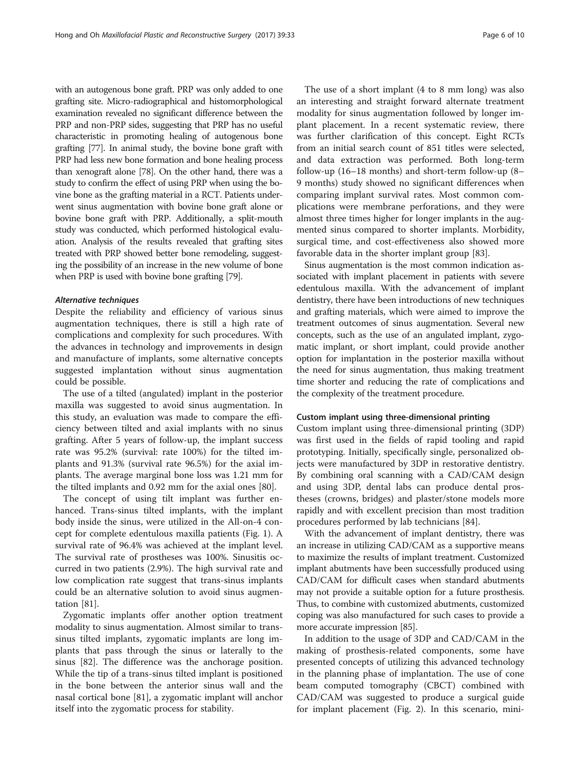with an autogenous bone graft. PRP was only added to one grafting site. Micro-radiographical and histomorphological examination revealed no significant difference between the PRP and non-PRP sides, suggesting that PRP has no useful characteristic in promoting healing of autogenous bone grafting [[77](#page-9-0)]. In animal study, the bovine bone graft with PRP had less new bone formation and bone healing process than xenograft alone [\[78\]](#page-9-0). On the other hand, there was a study to confirm the effect of using PRP when using the bovine bone as the grafting material in a RCT. Patients underwent sinus augmentation with bovine bone graft alone or bovine bone graft with PRP. Additionally, a split-mouth study was conducted, which performed histological evaluation. Analysis of the results revealed that grafting sites treated with PRP showed better bone remodeling, suggesting the possibility of an increase in the new volume of bone when PRP is used with bovine bone grafting [[79](#page-9-0)].

Despite the reliability and efficiency of various sinus augmentation techniques, there is still a high rate of complications and complexity for such procedures. With the advances in technology and improvements in design and manufacture of implants, some alternative concepts suggested implantation without sinus augmentation could be possible.

The use of a tilted (angulated) implant in the posterior maxilla was suggested to avoid sinus augmentation. In this study, an evaluation was made to compare the efficiency between tilted and axial implants with no sinus grafting. After 5 years of follow-up, the implant success rate was 95.2% (survival: rate 100%) for the tilted implants and 91.3% (survival rate 96.5%) for the axial implants. The average marginal bone loss was 1.21 mm for the tilted implants and 0.92 mm for the axial ones [[80\]](#page-9-0).

The concept of using tilt implant was further enhanced. Trans-sinus tilted implants, with the implant body inside the sinus, were utilized in the All-on-4 concept for complete edentulous maxilla patients (Fig. [1\)](#page-6-0). A survival rate of 96.4% was achieved at the implant level. The survival rate of prostheses was 100%. Sinusitis occurred in two patients (2.9%). The high survival rate and low complication rate suggest that trans-sinus implants could be an alternative solution to avoid sinus augmentation [[81](#page-9-0)].

Zygomatic implants offer another option treatment modality to sinus augmentation. Almost similar to transsinus tilted implants, zygomatic implants are long implants that pass through the sinus or laterally to the sinus [\[82](#page-9-0)]. The difference was the anchorage position. While the tip of a trans-sinus tilted implant is positioned in the bone between the anterior sinus wall and the nasal cortical bone [\[81\]](#page-9-0), a zygomatic implant will anchor itself into the zygomatic process for stability.

The use of a short implant (4 to 8 mm long) was also an interesting and straight forward alternate treatment modality for sinus augmentation followed by longer implant placement. In a recent systematic review, there was further clarification of this concept. Eight RCTs from an initial search count of 851 titles were selected, and data extraction was performed. Both long-term follow-up (16–18 months) and short-term follow-up (8– 9 months) study showed no significant differences when comparing implant survival rates. Most common complications were membrane perforations, and they were almost three times higher for longer implants in the augmented sinus compared to shorter implants. Morbidity, surgical time, and cost-effectiveness also showed more favorable data in the shorter implant group [\[83\]](#page-9-0).

Sinus augmentation is the most common indication associated with implant placement in patients with severe edentulous maxilla. With the advancement of implant dentistry, there have been introductions of new techniques and grafting materials, which were aimed to improve the treatment outcomes of sinus augmentation. Several new concepts, such as the use of an angulated implant, zygomatic implant, or short implant, could provide another option for implantation in the posterior maxilla without the need for sinus augmentation, thus making treatment time shorter and reducing the rate of complications and the complexity of the treatment procedure.

#### Custom implant using three-dimensional printing

Custom implant using three-dimensional printing (3DP) was first used in the fields of rapid tooling and rapid prototyping. Initially, specifically single, personalized objects were manufactured by 3DP in restorative dentistry. By combining oral scanning with a CAD/CAM design and using 3DP, dental labs can produce dental prostheses (crowns, bridges) and plaster/stone models more rapidly and with excellent precision than most tradition procedures performed by lab technicians [\[84\]](#page-9-0).

With the advancement of implant dentistry, there was an increase in utilizing CAD/CAM as a supportive means to maximize the results of implant treatment. Customized implant abutments have been successfully produced using CAD/CAM for difficult cases when standard abutments may not provide a suitable option for a future prosthesis. Thus, to combine with customized abutments, customized coping was also manufactured for such cases to provide a more accurate impression [\[85\]](#page-9-0).

In addition to the usage of 3DP and CAD/CAM in the making of prosthesis-related components, some have presented concepts of utilizing this advanced technology in the planning phase of implantation. The use of cone beam computed tomography (CBCT) combined with CAD/CAM was suggested to produce a surgical guide for implant placement (Fig. [2](#page-6-0)). In this scenario, mini-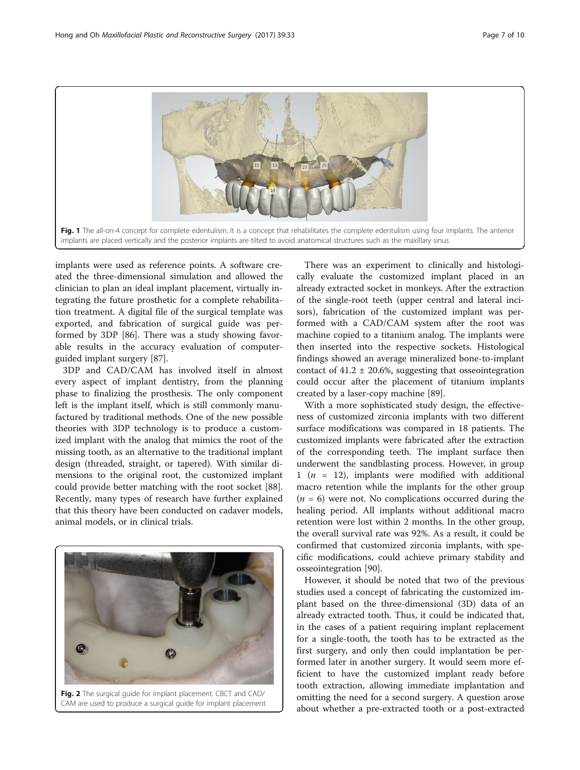<span id="page-6-0"></span>

implants were used as reference points. A software created the three-dimensional simulation and allowed the clinician to plan an ideal implant placement, virtually integrating the future prosthetic for a complete rehabilitation treatment. A digital file of the surgical template was exported, and fabrication of surgical guide was performed by 3DP [\[86](#page-9-0)]. There was a study showing favorable results in the accuracy evaluation of computerguided implant surgery [[87](#page-9-0)].

3DP and CAD/CAM has involved itself in almost every aspect of implant dentistry, from the planning phase to finalizing the prosthesis. The only component left is the implant itself, which is still commonly manufactured by traditional methods. One of the new possible theories with 3DP technology is to produce a customized implant with the analog that mimics the root of the missing tooth, as an alternative to the traditional implant design (threaded, straight, or tapered). With similar dimensions to the original root, the customized implant could provide better matching with the root socket [\[88](#page-9-0)]. Recently, many types of research have further explained that this theory have been conducted on cadaver models, animal models, or in clinical trials.



Fig. 2 The surgical guide for implant placement. CBCT and CAD/ CAM are used to produce a surgical guide for implant placement

There was an experiment to clinically and histologically evaluate the customized implant placed in an already extracted socket in monkeys. After the extraction of the single-root teeth (upper central and lateral incisors), fabrication of the customized implant was performed with a CAD/CAM system after the root was machine copied to a titanium analog. The implants were then inserted into the respective sockets. Histological findings showed an average mineralized bone-to-implant contact of  $41.2 \pm 20.6$ %, suggesting that osseointegration could occur after the placement of titanium implants created by a laser-copy machine [\[89](#page-9-0)].

With a more sophisticated study design, the effectiveness of customized zirconia implants with two different surface modifications was compared in 18 patients. The customized implants were fabricated after the extraction of the corresponding teeth. The implant surface then underwent the sandblasting process. However, in group 1 ( $n = 12$ ), implants were modified with additional macro retention while the implants for the other group  $(n = 6)$  were not. No complications occurred during the healing period. All implants without additional macro retention were lost within 2 months. In the other group, the overall survival rate was 92%. As a result, it could be confirmed that customized zirconia implants, with specific modifications, could achieve primary stability and osseointegration [[90](#page-9-0)].

However, it should be noted that two of the previous studies used a concept of fabricating the customized implant based on the three-dimensional (3D) data of an already extracted tooth. Thus, it could be indicated that, in the cases of a patient requiring implant replacement for a single-tooth, the tooth has to be extracted as the first surgery, and only then could implantation be performed later in another surgery. It would seem more efficient to have the customized implant ready before tooth extraction, allowing immediate implantation and omitting the need for a second surgery. A question arose about whether a pre-extracted tooth or a post-extracted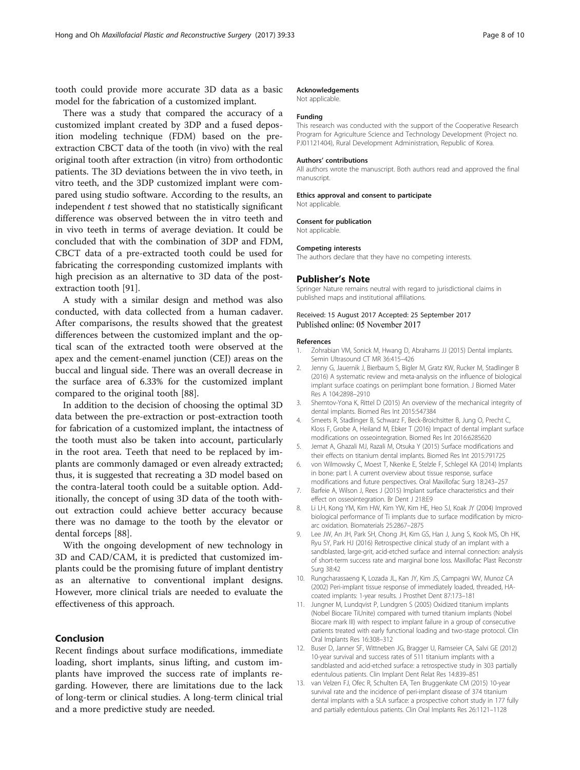<span id="page-7-0"></span>tooth could provide more accurate 3D data as a basic model for the fabrication of a customized implant.

There was a study that compared the accuracy of a customized implant created by 3DP and a fused deposition modeling technique (FDM) based on the preextraction CBCT data of the tooth (in vivo) with the real original tooth after extraction (in vitro) from orthodontic patients. The 3D deviations between the in vivo teeth, in vitro teeth, and the 3DP customized implant were compared using studio software. According to the results, an independent  $t$  test showed that no statistically significant difference was observed between the in vitro teeth and in vivo teeth in terms of average deviation. It could be concluded that with the combination of 3DP and FDM, CBCT data of a pre-extracted tooth could be used for fabricating the corresponding customized implants with high precision as an alternative to 3D data of the postextraction tooth [[91\]](#page-9-0).

A study with a similar design and method was also conducted, with data collected from a human cadaver. After comparisons, the results showed that the greatest differences between the customized implant and the optical scan of the extracted tooth were observed at the apex and the cement-enamel junction (CEJ) areas on the buccal and lingual side. There was an overall decrease in the surface area of 6.33% for the customized implant compared to the original tooth [\[88\]](#page-9-0).

In addition to the decision of choosing the optimal 3D data between the pre-extraction or post-extraction tooth for fabrication of a customized implant, the intactness of the tooth must also be taken into account, particularly in the root area. Teeth that need to be replaced by implants are commonly damaged or even already extracted; thus, it is suggested that recreating a 3D model based on the contra-lateral tooth could be a suitable option. Additionally, the concept of using 3D data of the tooth without extraction could achieve better accuracy because there was no damage to the tooth by the elevator or dental forceps [\[88](#page-9-0)].

With the ongoing development of new technology in 3D and CAD/CAM, it is predicted that customized implants could be the promising future of implant dentistry as an alternative to conventional implant designs. However, more clinical trials are needed to evaluate the effectiveness of this approach.

# Conclusion

Recent findings about surface modifications, immediate loading, short implants, sinus lifting, and custom implants have improved the success rate of implants regarding. However, there are limitations due to the lack of long-term or clinical studies. A long-term clinical trial and a more predictive study are needed.

## Acknowledgements

Not applicable.

## Funding

This research was conducted with the support of the Cooperative Research Program for Agriculture Science and Technology Development (Project no. PJ01121404), Rural Development Administration, Republic of Korea.

#### Authors' contributions

All authors wrote the manuscript. Both authors read and approved the final manuscript.

#### Ethics approval and consent to participate Not applicable.

#### Consent for publication

Not applicable.

#### Competing interests

The authors declare that they have no competing interests.

## Publisher's Note

Springer Nature remains neutral with regard to jurisdictional claims in published maps and institutional affiliations.

## Received: 15 August 2017 Accepted: 25 September 2017 Published online: 05 November 2017

#### References

- 1. Zohrabian VM, Sonick M, Hwang D, Abrahams JJ (2015) Dental implants. Semin Ultrasound CT MR 36:415–426
- 2. Jenny G, Jauernik J, Bierbaum S, Bigler M, Gratz KW, Rucker M, Stadlinger B (2016) A systematic review and meta-analysis on the influence of biological implant surface coatings on periimplant bone formation. J Biomed Mater Res A 104:2898–2910
- 3. Shemtov-Yona K, Rittel D (2015) An overview of the mechanical integrity of dental implants. Biomed Res Int 2015:547384
- 4. Smeets R, Stadlinger B, Schwarz F, Beck-Broichsitter B, Jung O, Precht C, Kloss F, Grobe A, Heiland M, Ebker T (2016) Impact of dental implant surface modifications on osseointegration. Biomed Res Int 2016:6285620
- 5. Jemat A, Ghazali MJ, Razali M, Otsuka Y (2015) Surface modifications and their effects on titanium dental implants. Biomed Res Int 2015:791725
- 6. von Wilmowsky C, Moest T, Nkenke E, Stelzle F, Schlegel KA (2014) Implants in bone: part I. A current overview about tissue response, surface modifications and future perspectives. Oral Maxillofac Surg 18:243–257
- 7. Barfeie A, Wilson J, Rees J (2015) Implant surface characteristics and their effect on osseointegration. Br Dent J 218:E9
- 8. Li LH, Kong YM, Kim HW, Kim YW, Kim HE, Heo SJ, Koak JY (2004) Improved biological performance of Ti implants due to surface modification by microarc oxidation. Biomaterials 25:2867–2875
- 9. Lee JW, An JH, Park SH, Chong JH, Kim GS, Han J, Jung S, Kook MS, Oh HK, Ryu SY, Park HJ (2016) Retrospective clinical study of an implant with a sandblasted, large-grit, acid-etched surface and internal connection: analysis of short-term success rate and marginal bone loss. Maxillofac Plast Reconstr Surg 38:42
- 10. Rungcharassaeng K, Lozada JL, Kan JY, Kim JS, Campagni WV, Munoz CA (2002) Peri-implant tissue response of immediately loaded, threaded, HAcoated implants: 1-year results. J Prosthet Dent 87:173–181
- 11. Jungner M, Lundqvist P, Lundgren S (2005) Oxidized titanium implants (Nobel Biocare TiUnite) compared with turned titanium implants (Nobel Biocare mark III) with respect to implant failure in a group of consecutive patients treated with early functional loading and two-stage protocol. Clin Oral Implants Res 16:308–312
- 12. Buser D, Janner SF, Wittneben JG, Bragger U, Ramseier CA, Salvi GE (2012) 10-year survival and success rates of 511 titanium implants with a sandblasted and acid-etched surface: a retrospective study in 303 partially edentulous patients. Clin Implant Dent Relat Res 14:839–851
- 13. van Velzen FJ, Ofec R, Schulten EA, Ten Bruggenkate CM (2015) 10-year survival rate and the incidence of peri-implant disease of 374 titanium dental implants with a SLA surface: a prospective cohort study in 177 fully and partially edentulous patients. Clin Oral Implants Res 26:1121–1128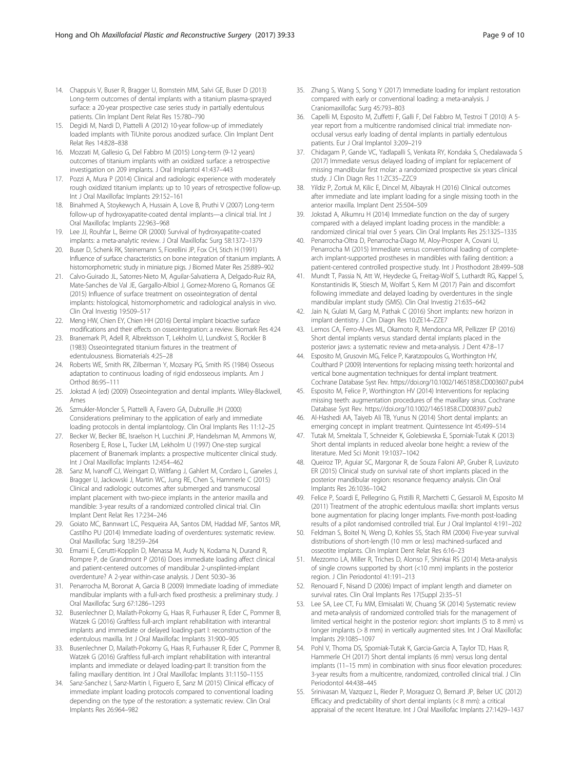- <span id="page-8-0"></span>14. Chappuis V, Buser R, Bragger U, Bornstein MM, Salvi GE, Buser D (2013) Long-term outcomes of dental implants with a titanium plasma-sprayed surface: a 20-year prospective case series study in partially edentulous patients. Clin Implant Dent Relat Res 15:780–790
- 15. Degidi M, Nardi D, Piattelli A (2012) 10-year follow-up of immediately loaded implants with TiUnite porous anodized surface. Clin Implant Dent Relat Res 14:828–838
- 16. Mozzati M, Gallesio G, Del Fabbro M (2015) Long-term (9-12 years) outcomes of titanium implants with an oxidized surface: a retrospective investigation on 209 implants. J Oral Implantol 41:437–443
- 17. Pozzi A, Mura P (2014) Clinical and radiologic experience with moderately rough oxidized titanium implants: up to 10 years of retrospective follow-up. Int J Oral Maxillofac Implants 29:152–161
- 18. Binahmed A, Stoykewych A, Hussain A, Love B, Pruthi V (2007) Long-term follow-up of hydroxyapatite-coated dental implants—a clinical trial. Int J Oral Maxillofac Implants 22:963–968
- 19. Lee JJ, Rouhfar L, Beirne OR (2000) Survival of hydroxyapatite-coated implants: a meta-analytic review. J Oral Maxillofac Surg 58:1372–1379
- 20. Buser D, Schenk RK, Steinemann S, Fiorellini JP, Fox CH, Stich H (1991) Influence of surface characteristics on bone integration of titanium implants. A histomorphometric study in miniature pigs. J Biomed Mater Res 25:889–902
- 21. Calvo-Guirado JL, Satorres-Nieto M, Aguilar-Salvatierra A, Delgado-Ruiz RA, Mate-Sanches de Val JE, Gargallo-Albiol J, Gomez-Moreno G, Romanos GE (2015) Influence of surface treatment on osseointegration of dental implants: histological, histomorphometric and radiological analysis in vivo. Clin Oral Investig 19:509–517
- 22. Meng HW, Chien EY, Chien HH (2016) Dental implant bioactive surface modifications and their effects on osseointegration: a review. Biomark Res 4:24
- 23. Branemark PI, Adell R, Albrektsson T, Lekholm U, Lundkvist S, Rockler B (1983) Osseointegrated titanium fixtures in the treatment of edentulousness. Biomaterials 4:25–28
- 24. Roberts WE, Smith RK, Zilberman Y, Mozsary PG, Smith RS (1984) Osseous adaptation to continuous loading of rigid endosseous implants. Am J Orthod 86:95–111
- 25. Jokstad A (ed) (2009) Osseointegration and dental implants. Wiley-Blackwell, Ames
- 26. Szmukler-Moncler S, Piattelli A, Favero GA, Dubruille JH (2000) Considerations preliminary to the application of early and immediate loading protocols in dental implantology. Clin Oral Implants Res 11:12–25
- 27. Becker W, Becker BE, Israelson H, Lucchini JP, Handelsman M, Ammons W, Rosenberg E, Rose L, Tucker LM, Lekholm U (1997) One-step surgical placement of Branemark implants: a prospective multicenter clinical study. Int J Oral Maxillofac Implants 12:454–462
- 28. Sanz M, Ivanoff CJ, Weingart D, Wiltfang J, Gahlert M, Cordaro L, Ganeles J, Bragger U, Jackowski J, Martin WC, Jung RE, Chen S, Hammerle C (2015) Clinical and radiologic outcomes after submerged and transmucosal implant placement with two-piece implants in the anterior maxilla and mandible: 3-year results of a randomized controlled clinical trial. Clin Implant Dent Relat Res 17:234–246
- 29. Goiato MC, Bannwart LC, Pesqueira AA, Santos DM, Haddad MF, Santos MR, Castilho PU (2014) Immediate loading of overdentures: systematic review. Oral Maxillofac Surg 18:259–264
- 30. Emami E, Cerutti-Kopplin D, Menassa M, Audy N, Kodama N, Durand R, Rompre P, de Grandmont P (2016) Does immediate loading affect clinical and patient-centered outcomes of mandibular 2-unsplinted-implant overdenture? A 2-year within-case analysis. J Dent 50:30–36
- 31. Penarrocha M, Boronat A, Garcia B (2009) Immediate loading of immediate mandibular implants with a full-arch fixed prosthesis: a preliminary study. J Oral Maxillofac Surg 67:1286–1293
- 32. Busenlechner D, Mailath-Pokorny G, Haas R, Furhauser R, Eder C, Pommer B, Watzek G (2016) Graftless full-arch implant rehabilitation with interantral implants and immediate or delayed loading-part I: reconstruction of the edentulous maxilla. Int J Oral Maxillofac Implants 31:900–905
- 33. Busenlechner D, Mailath-Pokorny G, Haas R, Furhauser R, Eder C, Pommer B, Watzek G (2016) Graftless full-arch implant rehabilitation with interantral implants and immediate or delayed loading-part II: transition from the failing maxillary dentition. Int J Oral Maxillofac Implants 31:1150–1155
- 34. Sanz-Sanchez I, Sanz-Martin I, Figuero E, Sanz M (2015) Clinical efficacy of immediate implant loading protocols compared to conventional loading depending on the type of the restoration: a systematic review. Clin Oral Implants Res 26:964–982
- 35. Zhang S, Wang S, Song Y (2017) Immediate loading for implant restoration compared with early or conventional loading: a meta-analysis. J Craniomaxillofac Surg 45:793–803
- 36. Capelli M, Esposito M, Zuffetti F, Galli F, Del Fabbro M, Testroi T (2010) A 5 year report from a multicentre randomised clinical trial: immediate nonocclusal versus early loading of dental implants in partially edentulous patients. Eur J Oral Implantol 3:209–219
- 37. Chidagam P, Gande VC, Yadlapalli S, Venkata RY, Kondaka S, Chedalawada S (2017) Immediate versus delayed loading of implant for replacement of missing mandibular first molar: a randomized prospective six years clinical study. J Clin Diagn Res 11:ZC35–ZZC9
- 38. Yildiz P, Zortuk M, Kilic E, Dincel M, Albayrak H (2016) Clinical outcomes after immediate and late implant loading for a single missing tooth in the anterior maxilla. Implant Dent 25:504–509
- 39. Jokstad A, Alkumru H (2014) Immediate function on the day of surgery compared with a delayed implant loading process in the mandible: a randomized clinical trial over 5 years. Clin Oral Implants Res 25:1325–1335
- 40. Penarrocha-Oltra D, Penarrocha-Diago M, Aloy-Prosper A, Covani U, Penarrocha M (2015) Immediate versus conventional loading of completearch implant-supported prostheses in mandibles with failing dentition: a patient-centered controlled prospective study. Int J Prosthodont 28:499–508
- 41. Mundt T, Passia N, Att W, Heydecke G, Freitag-Wolf S, Luthardt RG, Kappel S, Konstantinidis IK, Stiesch M, Wolfart S, Kern M (2017) Pain and discomfort following immediate and delayed loading by overdentures in the single mandibular implant study (SMIS). Clin Oral Investig 21:635–642
- 42. Jain N, Gulati M, Garg M, Pathak C (2016) Short implants: new horizon in implant dentistry. J Clin Diagn Res 10:ZE14–ZZE7
- 43. Lemos CA, Ferro-Alves ML, Okamoto R, Mendonca MR, Pellizzer EP (2016) Short dental implants versus standard dental implants placed in the posterior jaws: a systematic review and meta-analysis. J Dent 47:8–17
- 44. Esposito M, Grusovin MG, Felice P, Karatzopoulos G, Worthington HV, Coulthard P (2009) Interventions for replacing missing teeth: horizontal and vertical bone augmentation techniques for dental implant treatment. Cochrane Database Syst Rev. [https://doi.org/10.1002/14651858.CD003607.pub4](http://dx.doi.org/10.1002/14651858.CD003607.pub4)
- 45. Esposito M, Felice P, Worthington HV (2014) Interventions for replacing missing teeth: augmentation procedures of the maxillary sinus. Cochrane Database Syst Rev. [https://doi.org/10.1002/14651858.CD008397.pub2](http://dx.doi.org/10.1002/14651858.CD008397.pub2)
- 46. Al-Hashedi AA, Taiyeb Ali TB, Yunus N (2014) Short dental implants: an emerging concept in implant treatment. Quintessence Int 45:499–514
- 47. Tutak M, Smektala T, Schneider K, Golebiewska E, Sporniak-Tutak K (2013) Short dental implants in reduced alveolar bone height: a review of the literature. Med Sci Monit 19:1037–1042
- 48. Queiroz TP, Aguiar SC, Margonar R, de Souza Faloni AP, Gruber R, Luvizuto ER (2015) Clinical study on survival rate of short implants placed in the posterior mandibular region: resonance frequency analysis. Clin Oral Implants Res 26:1036–1042
- 49. Felice P, Soardi E, Pellegrino G, Pistilli R, Marchetti C, Gessaroli M, Esposito M (2011) Treatment of the atrophic edentulous maxilla: short implants versus bone augmentation for placing longer implants. Five-month post-loading results of a pilot randomised controlled trial. Eur J Oral Implantol 4:191–202
- 50. Feldman S, Boitel N, Weng D, Kohles SS, Stach RM (2004) Five-year survival distributions of short-length (10 mm or less) machined-surfaced and osseotite implants. Clin Implant Dent Relat Res 6:16–23
- 51. Mezzomo LA, Miller R, Triches D, Alonso F, Shinkai RS (2014) Meta-analysis of single crowns supported by short (<10 mm) implants in the posterior region. J Clin Periodontol 41:191–213
- 52. Renouard F, Nisand D (2006) Impact of implant length and diameter on survival rates. Clin Oral Implants Res 17(Suppl 2):35–51
- 53. Lee SA, Lee CT, Fu MM, Elmisalati W, Chuang SK (2014) Systematic review and meta-analysis of randomized controlled trials for the management of limited vertical height in the posterior region: short implants (5 to 8 mm) vs longer implants (> 8 mm) in vertically augmented sites. Int J Oral Maxillofac Implants 29:1085–1097
- 54. Pohl V, Thoma DS, Sporniak-Tutak K, Garcia-Garcia A, Taylor TD, Haas R, Hammerle CH (2017) Short dental implants (6 mm) versus long dental implants (11–15 mm) in combination with sinus floor elevation procedures: 3-year results from a multicentre, randomized, controlled clinical trial. J Clin Periodontol 44:438–445
- 55. Srinivasan M, Vazquez L, Rieder P, Moraguez O, Bernard JP, Belser UC (2012) Efficacy and predictability of short dental implants (< 8 mm): a critical appraisal of the recent literature. Int J Oral Maxillofac Implants 27:1429–1437